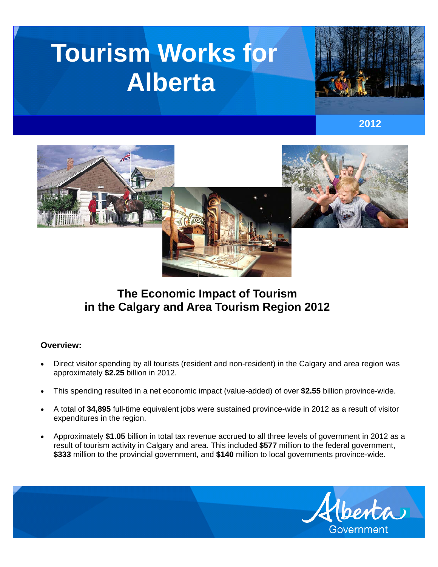# **Tourism Works for Alberta**



**2012** 



# **The Economic Impact of Tourism in the Calgary and Area Tourism Region 2012**

### **Overview:**

- Direct visitor spending by all tourists (resident and non-resident) in the Calgary and area region was approximately **\$2.25** billion in 2012.
- This spending resulted in a net economic impact (value-added) of over **\$2.55** billion province-wide.
- A total of **34,895** full-time equivalent jobs were sustained province-wide in 2012 as a result of visitor expenditures in the region.
- Approximately **\$1.05** billion in total tax revenue accrued to all three levels of government in 2012 as a result of tourism activity in Calgary and area. This included **\$577** million to the federal government, **\$333** million to the provincial government, and **\$140** million to local governments province-wide.

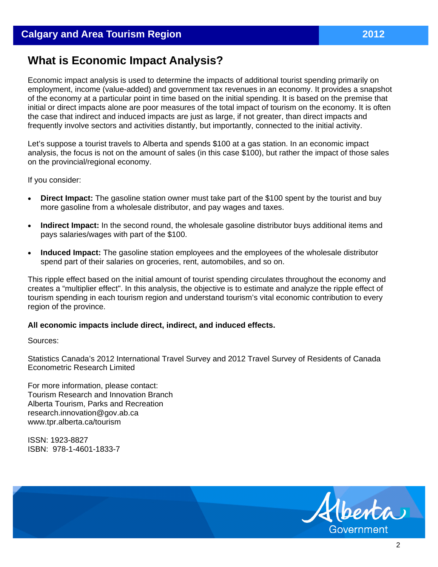# **What is Economic Impact Analysis?**

Economic impact analysis is used to determine the impacts of additional tourist spending primarily on employment, income (value-added) and government tax revenues in an economy. It provides a snapshot of the economy at a particular point in time based on the initial spending. It is based on the premise that initial or direct impacts alone are poor measures of the total impact of tourism on the economy. It is often the case that indirect and induced impacts are just as large, if not greater, than direct impacts and frequently involve sectors and activities distantly, but importantly, connected to the initial activity.

Let's suppose a tourist travels to Alberta and spends \$100 at a gas station. In an economic impact analysis, the focus is not on the amount of sales (in this case \$100), but rather the impact of those sales on the provincial/regional economy.

If you consider:

- **Direct Impact:** The gasoline station owner must take part of the \$100 spent by the tourist and buy more gasoline from a wholesale distributor, and pay wages and taxes.
- **Indirect Impact:** In the second round, the wholesale gasoline distributor buys additional items and pays salaries/wages with part of the \$100.
- **Induced Impact:** The gasoline station employees and the employees of the wholesale distributor spend part of their salaries on groceries, rent, automobiles, and so on.

This ripple effect based on the initial amount of tourist spending circulates throughout the economy and creates a "multiplier effect". In this analysis, the objective is to estimate and analyze the ripple effect of tourism spending in each tourism region and understand tourism's vital economic contribution to every region of the province.

#### **All economic impacts include direct, indirect, and induced effects.**

Sources:

Statistics Canada's 2012 International Travel Survey and 2012 Travel Survey of Residents of Canada Econometric Research Limited

For more information, please contact: Tourism Research and Innovation Branch Alberta Tourism, Parks and Recreation research.innovation@gov.ab.ca www.tpr.alberta.ca/tourism

ISSN: 1923-8827 ISBN: 978-1-4601-1833-7



2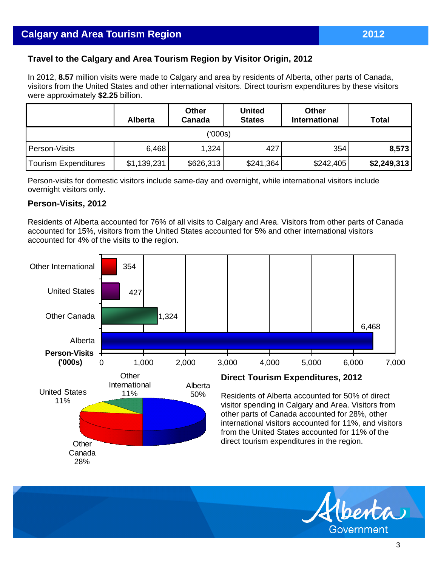## **Travel to the Calgary and Area Tourism Region by Visitor Origin, 2012**

In 2012, **8.57** million visits were made to Calgary and area by residents of Alberta, other parts of Canada, visitors from the United States and other international visitors. Direct tourism expenditures by these visitors were approximately **\$2.25** billion.

|                      | <b>Alberta</b> | <b>Other</b><br>Canada | <b>United</b><br><b>States</b> | <b>Other</b><br><b>International</b> | <b>Total</b> |  |  |  |
|----------------------|----------------|------------------------|--------------------------------|--------------------------------------|--------------|--|--|--|
| ('000s)              |                |                        |                                |                                      |              |  |  |  |
| Person-Visits        | 6,468          | 1,324                  | 427                            | 354                                  | 8,573        |  |  |  |
| Tourism Expenditures | \$1,139,231    | \$626,313              | \$241,364                      | \$242,405                            | \$2,249,313  |  |  |  |

Person-visits for domestic visitors include same-day and overnight, while international visitors include overnight visitors only.

#### **Person-Visits, 2012**

Residents of Alberta accounted for 76% of all visits to Calgary and Area. Visitors from other parts of Canada accounted for 15%, visitors from the United States accounted for 5% and other international visitors accounted for 4% of the visits to the region.